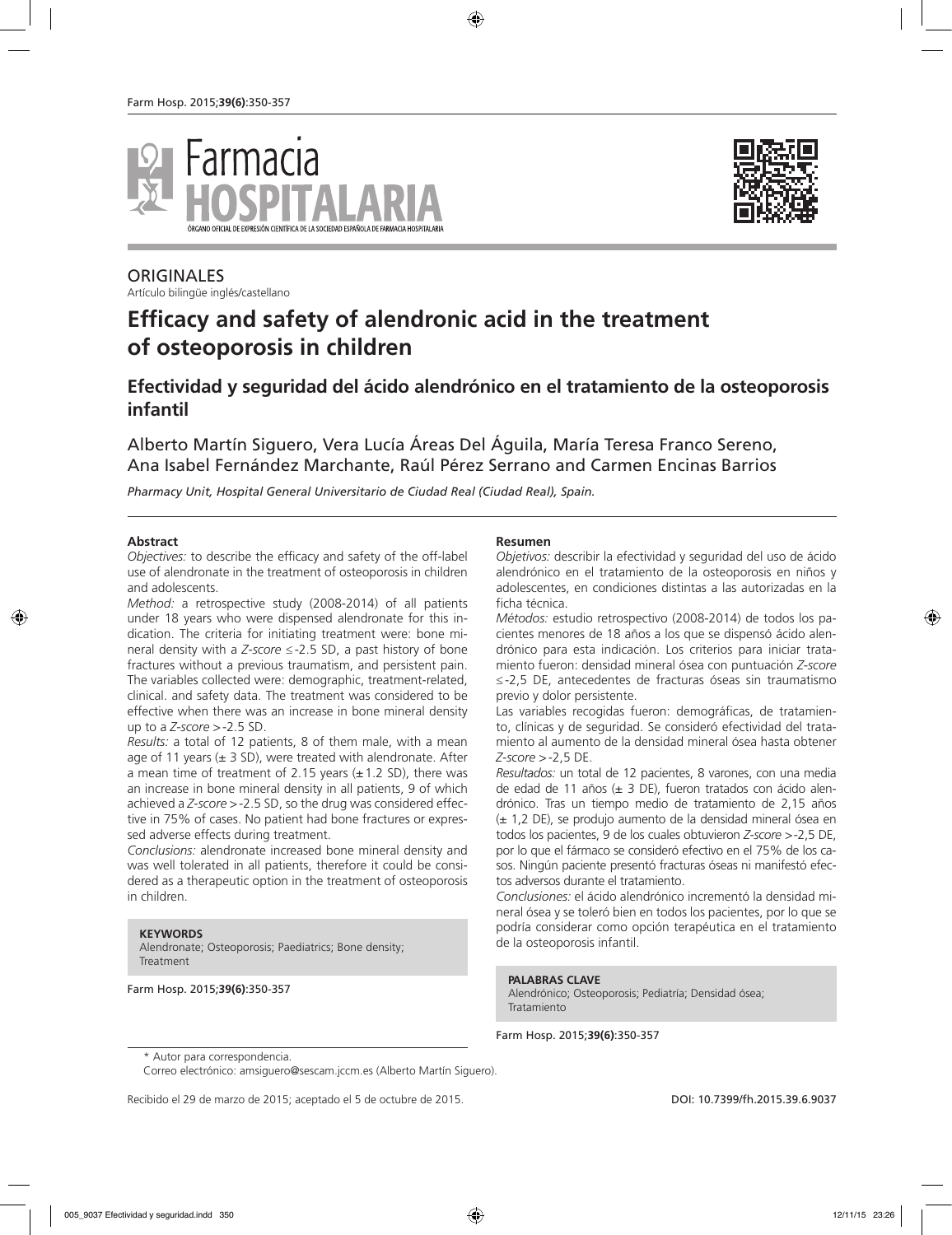



## **ORIGINALES**

Artículo bilingüe inglés/castellano

# **Efficacy and safety of alendronic acid in the treatment of osteoporosis in children**

## **Efectividad y seguridad del ácido alendrónico en el tratamiento de la osteoporosis infantil**

Alberto Martín Siguero, Vera Lucía Áreas Del Águila, María Teresa Franco Sereno, Ana Isabel Fernández Marchante, Raúl Pérez Serrano and Carmen Encinas Barrios

*Pharmacy Unit, Hospital General Universitario de Ciudad Real (Ciudad Real), Spain.*

#### **Abstract**

*Objectives:* to describe the efficacy and safety of the off-label use of alendronate in the treatment of osteoporosis in children and adolescents.

*Method:* a retrospective study (2008-2014) of all patients under 18 years who were dispensed alendronate for this indication. The criteria for initiating treatment were: bone mineral density with a *Z-score* ≤-2.5 SD, a past history of bone fractures without a previous traumatism, and persistent pain. The variables collected were: demographic, treatment-related, clinical. and safety data. The treatment was considered to be effective when there was an increase in bone mineral density up to a *Z-score* >-2.5 SD.

*Results:* a total of 12 patients, 8 of them male, with a mean age of 11 years  $(\pm 3 \text{ SD})$ , were treated with alendronate. After a mean time of treatment of 2.15 years  $(\pm 1.2$  SD), there was an increase in bone mineral density in all patients, 9 of which achieved a *Z-score* >-2.5 SD, so the drug was considered effective in 75% of cases. No patient had bone fractures or expressed adverse effects during treatment.

*Conclusions:* alendronate increased bone mineral density and was well tolerated in all patients, therefore it could be considered as a therapeutic option in the treatment of osteoporosis in children.

#### **KEYWORDS**

Alendronate; Osteoporosis; Paediatrics; Bone density; Treatment

Farm Hosp. 2015;**39(6)**:350-357

#### **Resumen**

*Objetivos:* describir la efectividad y seguridad del uso de ácido alendrónico en el tratamiento de la osteoporosis en niños y adolescentes, en condiciones distintas a las autorizadas en la ficha técnica.

*Métodos:* estudio retrospectivo (2008-2014) de todos los pacientes menores de 18 años a los que se dispensó ácido alendrónico para esta indicación. Los criterios para iniciar tratamiento fueron: densidad mineral ósea con puntuación *Z-score*  ≤-2,5 DE, antecedentes de fracturas óseas sin traumatismo previo y dolor persistente.

Las variables recogidas fueron: demográficas, de tratamiento, clínicas y de seguridad. Se consideró efectividad del tratamiento al aumento de la densidad mineral ósea hasta obtener *Z-score* >-2,5 DE.

*Resultados:* un total de 12 pacientes, 8 varones, con una media de edad de 11 años (± 3 DE), fueron tratados con ácido alendrónico. Tras un tiempo medio de tratamiento de 2,15 años (± 1,2 DE), se produjo aumento de la densidad mineral ósea en todos los pacientes, 9 de los cuales obtuvieron *Z-score* >-2,5 DE, por lo que el fármaco se consideró efectivo en el 75% de los casos. Ningún paciente presentó fracturas óseas ni manifestó efectos adversos durante el tratamiento.

*Conclusiones:* el ácido alendrónico incrementó la densidad mineral ósea y se toleró bien en todos los pacientes, por lo que se podría considerar como opción terapéutica en el tratamiento de la osteoporosis infantil.

#### **PALABRAS CLAVE**

Alendrónico; Osteoporosis; Pediatría; Densidad ósea; Tratamiento

Farm Hosp. 2015;**39(6)**:350-357

Recibido el 29 de marzo de 2015; aceptado el 5 de octubre de 2015. DOI: 10.7399/fh.2015.39.6.9037

<sup>\*</sup> Autor para correspondencia.

Correo electrónico: amsiguero@sescam.jccm.es (Alberto Martín Siguero).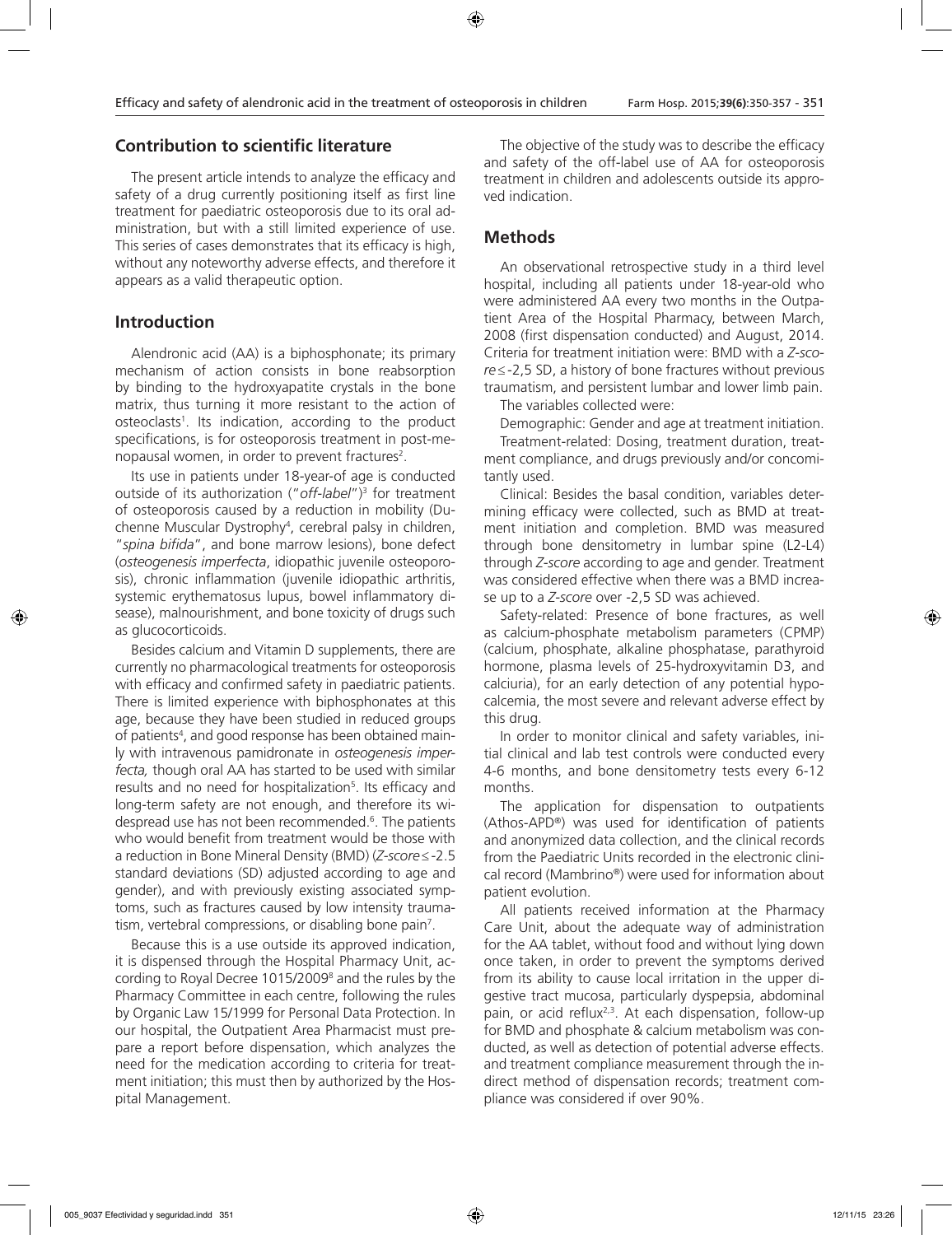### **Contribution to scientific literature**

The present article intends to analyze the efficacy and safety of a drug currently positioning itself as first line treatment for paediatric osteoporosis due to its oral administration, but with a still limited experience of use. This series of cases demonstrates that its efficacy is high, without any noteworthy adverse effects, and therefore it appears as a valid therapeutic option.

## **Introduction**

Alendronic acid (AA) is a biphosphonate; its primary mechanism of action consists in bone reabsorption by binding to the hydroxyapatite crystals in the bone matrix, thus turning it more resistant to the action of osteoclasts1 . Its indication, according to the product specifications, is for osteoporosis treatment in post-menopausal women, in order to prevent fractures<sup>2</sup>.

Its use in patients under 18-year-of age is conducted outside of its authorization ("*off-label*")3 for treatment of osteoporosis caused by a reduction in mobility (Duchenne Muscular Dystrophy4 , cerebral palsy in children, "*spina bifida*", and bone marrow lesions), bone defect (*osteogenesis imperfecta*, idiopathic juvenile osteoporosis), chronic inflammation (juvenile idiopathic arthritis, systemic erythematosus lupus, bowel inflammatory disease), malnourishment, and bone toxicity of drugs such as glucocorticoids.

Besides calcium and Vitamin D supplements, there are currently no pharmacological treatments for osteoporosis with efficacy and confirmed safety in paediatric patients. There is limited experience with biphosphonates at this age, because they have been studied in reduced groups of patients4 , and good response has been obtained mainly with intravenous pamidronate in *osteogenesis imperfecta,* though oral AA has started to be used with similar results and no need for hospitalization<sup>5</sup>. Its efficacy and long-term safety are not enough, and therefore its widespread use has not been recommended.<sup>6</sup>. The patients who would benefit from treatment would be those with a reduction in Bone Mineral Density (BMD) (*Z-score*≤-2.5 standard deviations (SD) adjusted according to age and gender), and with previously existing associated symptoms, such as fractures caused by low intensity traumatism, vertebral compressions, or disabling bone pain<sup>7</sup>.

Because this is a use outside its approved indication, it is dispensed through the Hospital Pharmacy Unit, according to Royal Decree 1015/2009<sup>8</sup> and the rules by the Pharmacy Committee in each centre, following the rules by Organic Law 15/1999 for Personal Data Protection. In our hospital, the Outpatient Area Pharmacist must prepare a report before dispensation, which analyzes the need for the medication according to criteria for treatment initiation; this must then by authorized by the Hospital Management.

The objective of the study was to describe the efficacy and safety of the off-label use of AA for osteoporosis treatment in children and adolescents outside its approved indication.

### **Methods**

An observational retrospective study in a third level hospital, including all patients under 18-year-old who were administered AA every two months in the Outpatient Area of the Hospital Pharmacy, between March, 2008 (first dispensation conducted) and August, 2014. Criteria for treatment initiation were: BMD with a *Z-score*≤-2,5 SD, a history of bone fractures without previous traumatism, and persistent lumbar and lower limb pain.

The variables collected were:

Demographic: Gender and age at treatment initiation. Treatment-related: Dosing, treatment duration, treatment compliance, and drugs previously and/or concomitantly used.

Clinical: Besides the basal condition, variables determining efficacy were collected, such as BMD at treatment initiation and completion. BMD was measured through bone densitometry in lumbar spine (L2-L4) through *Z-score* according to age and gender. Treatment was considered effective when there was a BMD increase up to a *Z-score* over -2,5 SD was achieved.

Safety-related: Presence of bone fractures, as well as calcium-phosphate metabolism parameters (CPMP) (calcium, phosphate, alkaline phosphatase, parathyroid hormone, plasma levels of 25-hydroxyvitamin D3, and calciuria), for an early detection of any potential hypocalcemia, the most severe and relevant adverse effect by this drug.

In order to monitor clinical and safety variables, initial clinical and lab test controls were conducted every 4-6 months, and bone densitometry tests every 6-12 months.

The application for dispensation to outpatients (Athos-APD®) was used for identification of patients and anonymized data collection, and the clinical records from the Paediatric Units recorded in the electronic clinical record (Mambrino®) were used for information about patient evolution.

All patients received information at the Pharmacy Care Unit, about the adequate way of administration for the AA tablet, without food and without lying down once taken, in order to prevent the symptoms derived from its ability to cause local irritation in the upper digestive tract mucosa, particularly dyspepsia, abdominal pain, or acid reflux<sup>2,3</sup>. At each dispensation, follow-up for BMD and phosphate & calcium metabolism was conducted, as well as detection of potential adverse effects. and treatment compliance measurement through the indirect method of dispensation records; treatment compliance was considered if over 90%.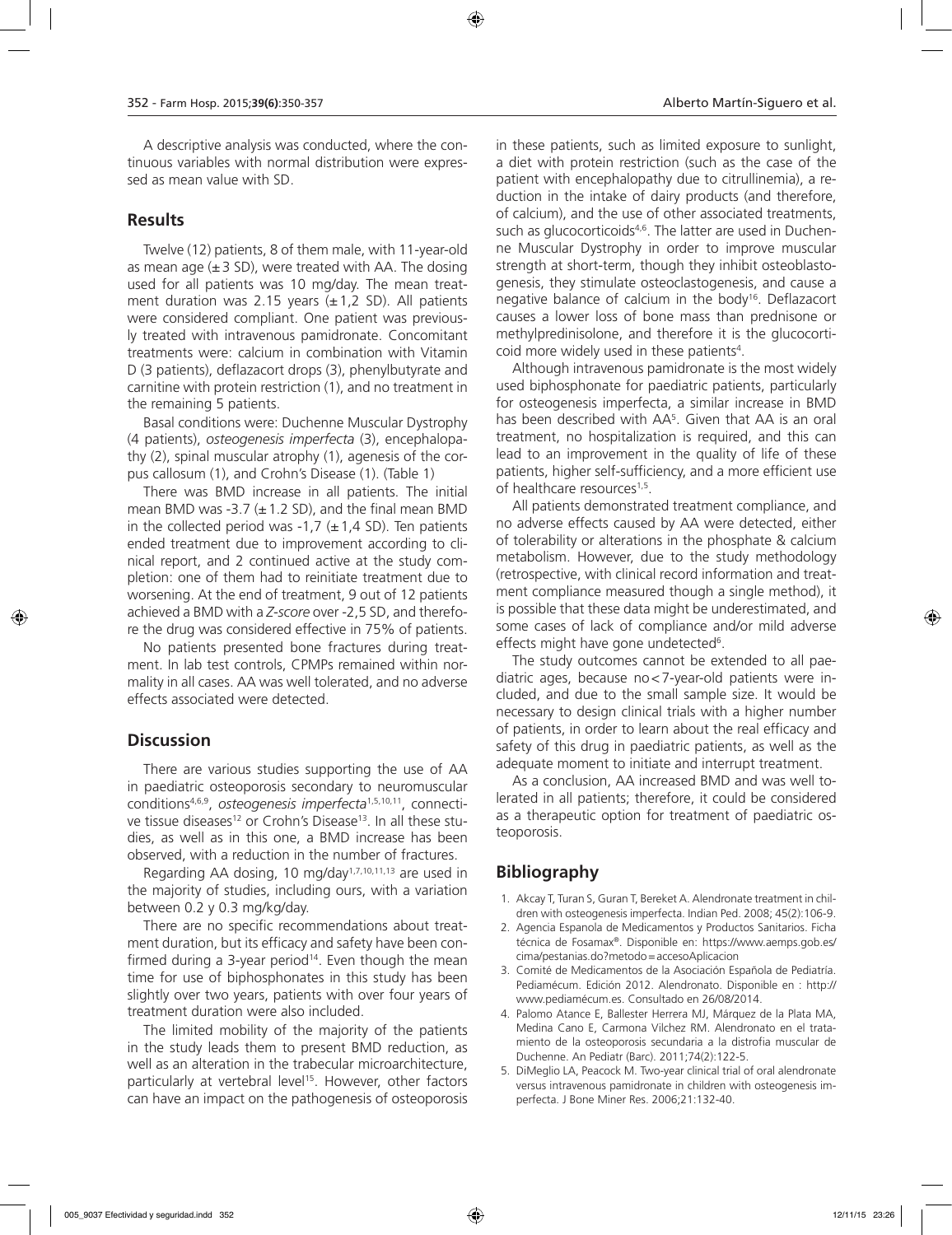A descriptive analysis was conducted, where the continuous variables with normal distribution were expressed as mean value with SD.

### **Results**

Twelve (12) patients, 8 of them male, with 11-year-old as mean age  $(\pm 3 \text{ SD})$ , were treated with AA. The dosing used for all patients was 10 mg/day. The mean treatment duration was 2.15 years  $(\pm 1.2$  SD). All patients were considered compliant. One patient was previously treated with intravenous pamidronate. Concomitant treatments were: calcium in combination with Vitamin D (3 patients), deflazacort drops (3), phenylbutyrate and carnitine with protein restriction (1), and no treatment in the remaining 5 patients.

Basal conditions were: Duchenne Muscular Dystrophy (4 patients), *osteogenesis imperfecta* (3), encephalopathy (2), spinal muscular atrophy (1), agenesis of the corpus callosum (1), and Crohn's Disease (1). (Table 1)

There was BMD increase in all patients. The initial mean BMD was -3.7  $(\pm 1.2$  SD), and the final mean BMD in the collected period was -1,7  $(\pm 1, 4 \text{ SD})$ . Ten patients ended treatment due to improvement according to clinical report, and 2 continued active at the study completion: one of them had to reinitiate treatment due to worsening. At the end of treatment, 9 out of 12 patients achieved a BMD with a *Z-score* over -2,5 SD, and therefore the drug was considered effective in 75% of patients.

No patients presented bone fractures during treatment. In lab test controls, CPMPs remained within normality in all cases. AA was well tolerated, and no adverse effects associated were detected.

### **Discussion**

There are various studies supporting the use of AA in paediatric osteoporosis secondary to neuromuscular conditions4,6,9, *osteogenesis imperfecta*1,5,10,11, connective tissue diseases<sup>12</sup> or Crohn's Disease<sup>13</sup>. In all these studies, as well as in this one, a BMD increase has been observed, with a reduction in the number of fractures.

Regarding AA dosing, 10 mg/day1,7,10,11,13 are used in the majority of studies, including ours, with a variation between 0.2 y 0.3 mg/kg/day.

There are no specific recommendations about treatment duration, but its efficacy and safety have been confirmed during a 3-year period $14$ . Even though the mean time for use of biphosphonates in this study has been slightly over two years, patients with over four years of treatment duration were also included.

The limited mobility of the majority of the patients in the study leads them to present BMD reduction, as well as an alteration in the trabecular microarchitecture, particularly at vertebral level<sup>15</sup>. However, other factors can have an impact on the pathogenesis of osteoporosis

in these patients, such as limited exposure to sunlight, a diet with protein restriction (such as the case of the patient with encephalopathy due to citrullinemia), a reduction in the intake of dairy products (and therefore, of calcium), and the use of other associated treatments, such as glucocorticoids<sup>4,6</sup>. The latter are used in Duchenne Muscular Dystrophy in order to improve muscular strength at short-term, though they inhibit osteoblastogenesis, they stimulate osteoclastogenesis, and cause a negative balance of calcium in the body<sup>16</sup>. Deflazacort causes a lower loss of bone mass than prednisone or methylpredinisolone, and therefore it is the glucocorti- $\cot$  more widely used in these patients<sup>4</sup>.

Although intravenous pamidronate is the most widely used biphosphonate for paediatric patients, particularly for osteogenesis imperfecta, a similar increase in BMD has been described with  $AA<sup>5</sup>$ . Given that  $AA$  is an oral treatment, no hospitalization is required, and this can lead to an improvement in the quality of life of these patients, higher self-sufficiency, and a more efficient use of healthcare resources<sup>1,5</sup>.

All patients demonstrated treatment compliance, and no adverse effects caused by AA were detected, either of tolerability or alterations in the phosphate & calcium metabolism. However, due to the study methodology (retrospective, with clinical record information and treatment compliance measured though a single method), it is possible that these data might be underestimated, and some cases of lack of compliance and/or mild adverse effects might have gone undetected<sup>6</sup>.

The study outcomes cannot be extended to all paediatric ages, because no<7-year-old patients were included, and due to the small sample size. It would be necessary to design clinical trials with a higher number of patients, in order to learn about the real efficacy and safety of this drug in paediatric patients, as well as the adequate moment to initiate and interrupt treatment.

As a conclusion, AA increased BMD and was well tolerated in all patients; therefore, it could be considered as a therapeutic option for treatment of paediatric osteoporosis.

## **Bibliography**

- 1. Akcay T, Turan S, Guran T, Bereket A. Alendronate treatment in children with osteogenesis imperfecta. Indian Ped. 2008; 45(2):106-9.
- 2. Agencia Espanola de Medicamentos y Productos Sanitarios. Ficha técnica de Fosamax®. Disponible en: https://www.aemps.gob.es/ cima/pestanias.do?metodo=accesoAplicacion
- 3. Comité de Medicamentos de la Asociación Española de Pediatría. Pediamécum. Edición 2012. Alendronato. Disponible en : http:// www.pediamécum.es. Consultado en 26/08/2014.
- 4. Palomo Atance E, Ballester Herrera MJ, Márquez de la Plata MA, Medina Cano E, Carmona Vilchez RM. Alendronato en el tratamiento de la osteoporosis secundaria a la distrofia muscular de Duchenne. An Pediatr (Barc). 2011;74(2):122-5.
- 5. DiMeglio LA, Peacock M. Two-year clinical trial of oral alendronate versus intravenous pamidronate in children with osteogenesis imperfecta. J Bone Miner Res. 2006;21:132-40.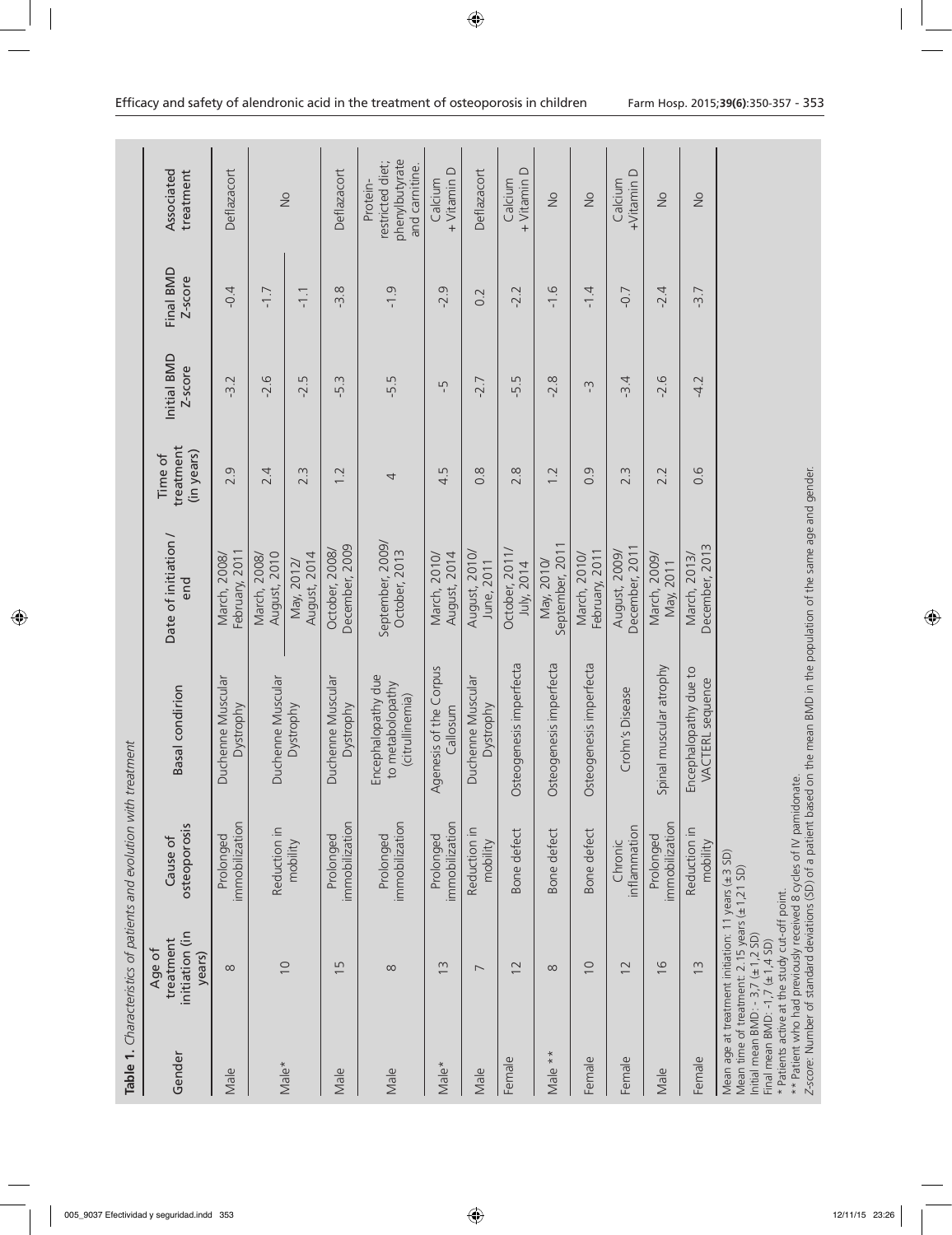|         |                                                                                                                                                                                                                                             | Table 1. Characteristics of patients and evolution with treatment |                                                                                                                                                                                                   |                                   |                                    |                        |                      |                                                                  |
|---------|---------------------------------------------------------------------------------------------------------------------------------------------------------------------------------------------------------------------------------------------|-------------------------------------------------------------------|---------------------------------------------------------------------------------------------------------------------------------------------------------------------------------------------------|-----------------------------------|------------------------------------|------------------------|----------------------|------------------------------------------------------------------|
| Gender  | initiation (in<br>treatment<br>Age of<br>years)                                                                                                                                                                                             | osteoporosis<br>Cause of                                          | <b>Basal</b> condirion                                                                                                                                                                            | Date of initiation /<br>end       | treatment<br>(in years)<br>Time of | Initial BMD<br>Z-score | Final BMD<br>Z-score | Associated<br>treatment                                          |
| Male    | $\infty$                                                                                                                                                                                                                                    | immobilization<br>Prolonged                                       | Duchenne Muscular<br>Dystrophy                                                                                                                                                                    | February, 2011<br>March, 2008     | 2.9                                | 7:2                    | $-0.4$               | Deflazacort                                                      |
|         |                                                                                                                                                                                                                                             | Reduction in                                                      | Duchenne Muscular                                                                                                                                                                                 | August, 2010<br>March, 2008,      | 2.4                                | $-2.6$                 | $-1.7$               |                                                                  |
| Male*   | $\overline{10}$                                                                                                                                                                                                                             | mobility                                                          | Dystrophy                                                                                                                                                                                         | August, 2014<br>May, 2012/        | $2.\overline{3}$                   | $-2.5$                 | $-1.1$               | $\frac{0}{2}$                                                    |
| Male    | LN<br>$\overline{\phantom{0}}$                                                                                                                                                                                                              | immobilization<br>Prolonged                                       | Duchenne Muscular<br>Dystrophy                                                                                                                                                                    | December, 2009<br>October, 2008,  | 1.2                                | $-5.3$                 | $-3.8$               | Deflazacort                                                      |
| Male    | $\infty$                                                                                                                                                                                                                                    | immobilization<br>Prolonged                                       | Encephalopathy due<br>to metabolopathy<br>(citrullinemia)                                                                                                                                         | September, 2009/<br>October, 2013 | 4                                  | -5.5                   | $-1.9$               | phenylbutyrate<br>restricted diet;<br>and carnitine.<br>Protein- |
| Male*   | $\frac{3}{2}$                                                                                                                                                                                                                               | immobilization<br>Prolonged                                       | Agenesis of the Corpus<br>Callosum                                                                                                                                                                | March, 2010/<br>August, 2014      | LN<br>$\frac{1}{4}$                | Ļ                      | $-2.9$               | + Vitamin D<br>Calcium                                           |
| Male    | $\overline{ }$                                                                                                                                                                                                                              | Reduction in<br>mobility                                          | Duchenne Muscular<br>Dystrophy                                                                                                                                                                    | August, 2010/<br>June, 2011       | $0.\overline{8}$                   | $-2.7$                 | 0.2                  | Deflazacort                                                      |
| Female  | $\overline{2}$                                                                                                                                                                                                                              | Bone defect                                                       | Osteogenesis imperfecta                                                                                                                                                                           | October, 2011/<br>July, 2014      | 2.8                                | $-5.5$                 | $-2.2$               | + Vitamin D<br>Calcium                                           |
| Male ** | $\infty$                                                                                                                                                                                                                                    | Bone defect                                                       | Osteogenesis imperfecta                                                                                                                                                                           | September, 2011<br>May, 2010/     | 1.2                                | $-2.8$                 | $-1.6$               | $\frac{1}{2}$                                                    |
| Female  | $\cup$                                                                                                                                                                                                                                      | Bone defect                                                       | Osteogenesis imperfecta                                                                                                                                                                           | February, 2011<br>March, 2010/    | 0.9                                | $\sum_{i}$             | $-1.4$               | $\frac{1}{2}$                                                    |
| Female  | $\overline{2}$                                                                                                                                                                                                                              | inflammation<br>Chronic                                           | Crohn's Disease                                                                                                                                                                                   | December, 2011<br>August, 2009,   | $2.\overline{3}$                   | $-3.4$                 | $-0.7$               | +Vitamin D<br>Calcium                                            |
| Male    | $\frac{6}{2}$                                                                                                                                                                                                                               | immobilization<br>Prolonged                                       | Spinal muscular atrophy                                                                                                                                                                           | March, 2009,<br>May, 2011         | 2.2                                | $-2.6$                 | $-2.4$               | $\frac{1}{2}$                                                    |
| Female  | $\tilde{c}$                                                                                                                                                                                                                                 | Reduction in<br>mobility                                          | Encephalopathy due to<br>VACTERL sequence                                                                                                                                                         | December, 2013<br>March, 2013     | 0.6                                | $-4.2$                 | $-3.7$               | $\frac{1}{2}$                                                    |
|         | Mean age at treatment initiation: 11 years (±3 SD)<br>Mean time of treatment: $2.15$ years $(\pm 1, 21$ SD)<br>* Patients active at the study cut-off point.<br>Initial mean BMD: $-3,7 \ (\pm 1,2 \ SD)$<br>Final mean BMD: -1,7 (±1,4 SD) |                                                                   | ** Patient who had previously received 8 cycles of IV pamidonate.<br>Z-score: Number of standard deviations (SD) of a patient based on the mean BMD in the population of the same age and gender. |                                   |                                    |                        |                      |                                                                  |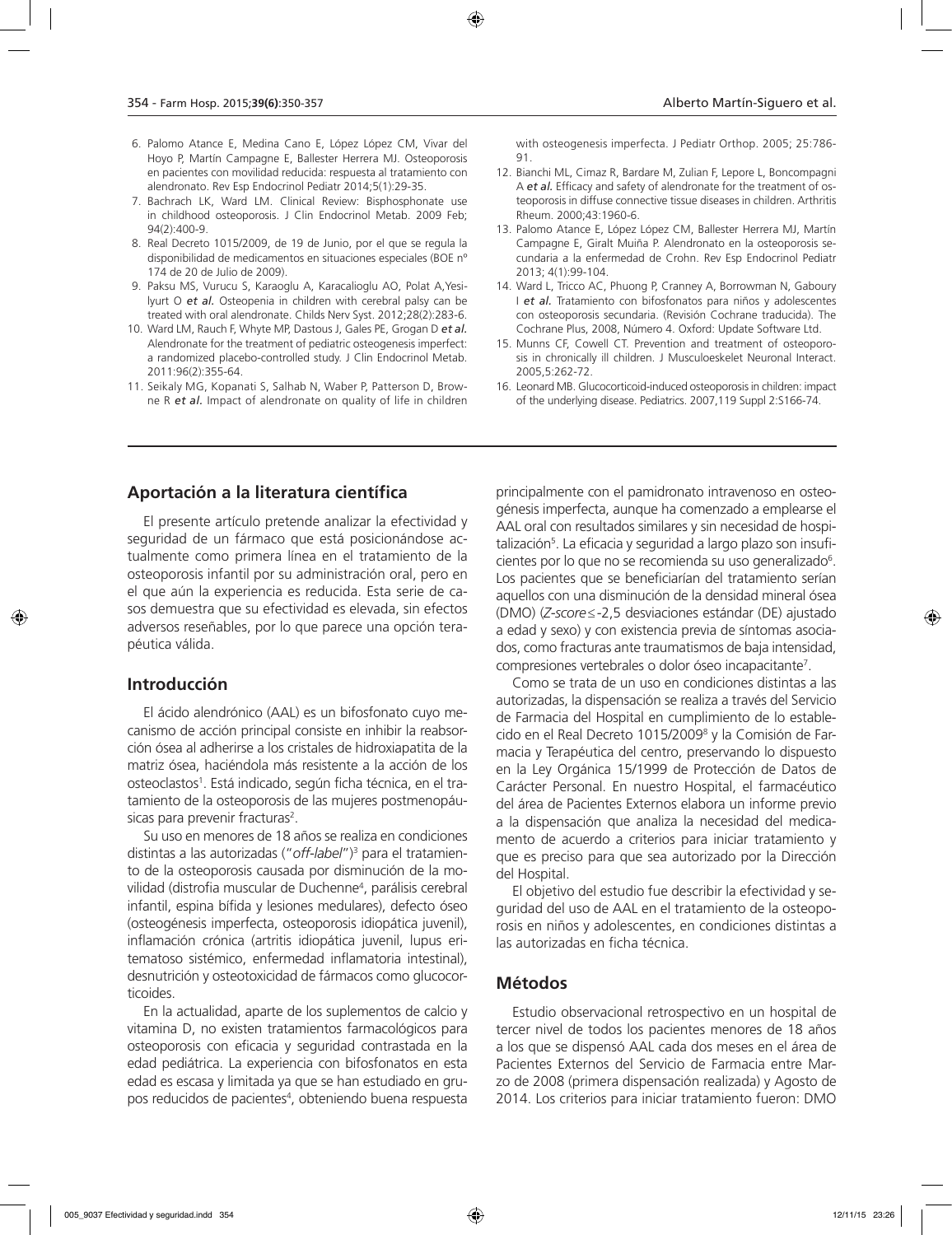- 6. Palomo Atance E, Medina Cano E, López López CM, Vivar del Hoyo P, Martín Campagne E, Ballester Herrera MJ. Osteoporosis en pacientes con movilidad reducida: respuesta al tratamiento con alendronato. Rev Esp Endocrinol Pediatr 2014;5(1):29-35.
- 7. Bachrach LK, Ward LM. Clinical Review: Bisphosphonate use in childhood osteoporosis. J Clin Endocrinol Metab. 2009 Feb;  $94(2)$ :400-9
- 8. Real Decreto 1015/2009, de 19 de Junio, por el que se regula la disponibilidad de medicamentos en situaciones especiales (BOE nº 174 de 20 de Julio de 2009).
- 9. Paksu MS, Vurucu S, Karaoglu A, Karacalioglu AO, Polat A,Yesilyurt O *et al.* Osteopenia in children with cerebral palsy can be treated with oral alendronate. Childs Nerv Syst. 2012;28(2):283-6.
- 10. Ward LM, Rauch F, Whyte MP, Dastous J, Gales PE, Grogan D *et al.* Alendronate for the treatment of pediatric osteogenesis imperfect: a randomized placebo-controlled study. J Clin Endocrinol Metab. 2011:96(2):355-64.
- 11. Seikaly MG, Kopanati S, Salhab N, Waber P, Patterson D, Browne R *et al.* Impact of alendronate on quality of life in children

with osteogenesis imperfecta. J Pediatr Orthop. 2005; 25:786- 91.

- 12. Bianchi ML, Cimaz R, Bardare M, Zulian F, Lepore L, Boncompagni A *et al.* Efficacy and safety of alendronate for the treatment of osteoporosis in diffuse connective tissue diseases in children. Arthritis Rheum. 2000;43:1960-6.
- 13. Palomo Atance E, López López CM, Ballester Herrera MJ, Martín Campagne E, Giralt Muiña P. Alendronato en la osteoporosis secundaria a la enfermedad de Crohn. Rev Esp Endocrinol Pediatr 2013; 4(1):99-104.
- 14. Ward L, Tricco AC, Phuong P, Cranney A, Borrowman N, Gaboury I *et al.* Tratamiento con bifosfonatos para niños y adolescentes con osteoporosis secundaria. (Revisión Cochrane traducida). The Cochrane Plus, 2008, Número 4. Oxford: Update Software Ltd.
- 15. Munns CF, Cowell CT. Prevention and treatment of osteoporosis in chronically ill children. J Musculoeskelet Neuronal Interact. 2005,5:262-72.
- 16. Leonard MB. Glucocorticoid-induced osteoporosis in children: impact of the underlying disease. Pediatrics. 2007,119 Suppl 2:S166-74.

### **Aportación a la literatura científica**

El presente artículo pretende analizar la efectividad y seguridad de un fármaco que está posicionándose actualmente como primera línea en el tratamiento de la osteoporosis infantil por su administración oral, pero en el que aún la experiencia es reducida. Esta serie de casos demuestra que su efectividad es elevada, sin efectos adversos reseñables, por lo que parece una opción terapéutica válida.

#### **Introducción**

El ácido alendrónico (AAL) es un bifosfonato cuyo mecanismo de acción principal consiste en inhibir la reabsorción ósea al adherirse a los cristales de hidroxiapatita de la matriz ósea, haciéndola más resistente a la acción de los osteoclastos<sup>1</sup>. Está indicado, según ficha técnica, en el tratamiento de la osteoporosis de las mujeres postmenopáusicas para prevenir fracturas<sup>2</sup>.

Su uso en menores de 18 años se realiza en condiciones distintas a las autorizadas ("*off-label*")3 para el tratamiento de la osteoporosis causada por disminución de la movilidad (distrofia muscular de Duchenne<sup>4</sup>, parálisis cerebral infantil, espina bífida y lesiones medulares), defecto óseo (osteogénesis imperfecta, osteoporosis idiopática juvenil), inflamación crónica (artritis idiopática juvenil, lupus eritematoso sistémico, enfermedad inflamatoria intestinal), desnutrición y osteotoxicidad de fármacos como glucocorticoides.

En la actualidad, aparte de los suplementos de calcio y vitamina D, no existen tratamientos farmacológicos para osteoporosis con eficacia y seguridad contrastada en la edad pediátrica. La experiencia con bifosfonatos en esta edad es escasa y limitada ya que se han estudiado en grupos reducidos de pacientes<sup>4</sup>, obteniendo buena respuesta

principalmente con el pamidronato intravenoso en osteogénesis imperfecta, aunque ha comenzado a emplearse el AAL oral con resultados similares y sin necesidad de hospitalización5 . La eficacia y seguridad a largo plazo son insuficientes por lo que no se recomienda su uso generalizado<sup>6</sup>. Los pacientes que se beneficiarían del tratamiento serían aquellos con una disminución de la densidad mineral ósea (DMO) (*Z-score*≤-2,5 desviaciones estándar (DE) ajustado a edad y sexo) y con existencia previa de síntomas asociados, como fracturas ante traumatismos de baja intensidad, compresiones vertebrales o dolor óseo incapacitante7 .

Como se trata de un uso en condiciones distintas a las autorizadas, la dispensación se realiza a través del Servicio de Farmacia del Hospital en cumplimiento de lo establecido en el Real Decreto 1015/20098 y la Comisión de Farmacia y Terapéutica del centro, preservando lo dispuesto en la Ley Orgánica 15/1999 de Protección de Datos de Carácter Personal. En nuestro Hospital, el farmacéutico del área de Pacientes Externos elabora un informe previo a la dispensación que analiza la necesidad del medicamento de acuerdo a criterios para iniciar tratamiento y que es preciso para que sea autorizado por la Dirección del Hospital.

El objetivo del estudio fue describir la efectividad y seguridad del uso de AAL en el tratamiento de la osteoporosis en niños y adolescentes, en condiciones distintas a las autorizadas en ficha técnica.

#### **Métodos**

Estudio observacional retrospectivo en un hospital de tercer nivel de todos los pacientes menores de 18 años a los que se dispensó AAL cada dos meses en el área de Pacientes Externos del Servicio de Farmacia entre Marzo de 2008 (primera dispensación realizada) y Agosto de 2014. Los criterios para iniciar tratamiento fueron: DMO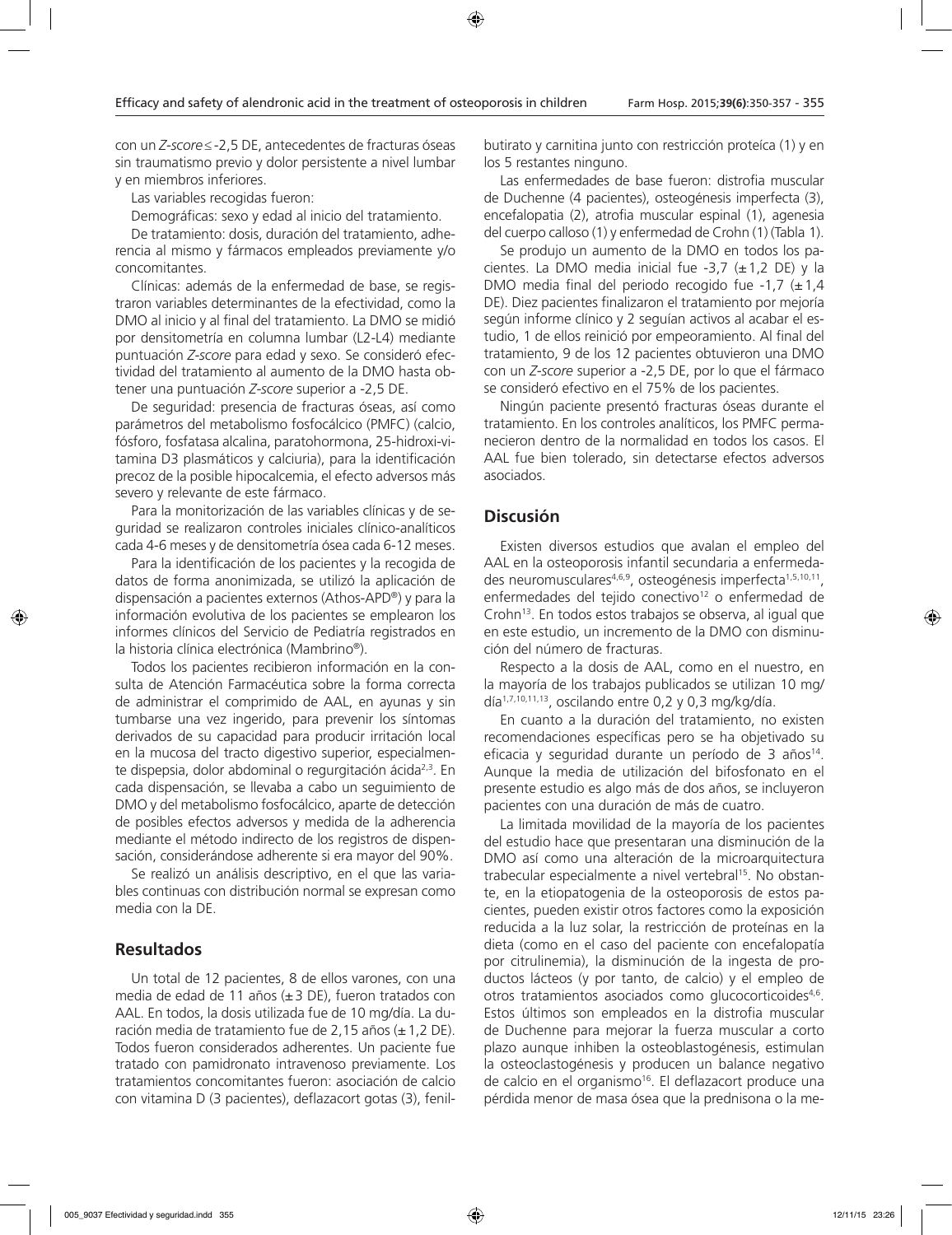con un *Z-score*≤-2,5 DE, antecedentes de fracturas óseas sin traumatismo previo y dolor persistente a nivel lumbar y en miembros inferiores.

Las variables recogidas fueron:

Demográficas: sexo y edad al inicio del tratamiento.

De tratamiento: dosis, duración del tratamiento, adherencia al mismo y fármacos empleados previamente y/o concomitantes.

Clínicas: además de la enfermedad de base, se registraron variables determinantes de la efectividad, como la DMO al inicio y al final del tratamiento. La DMO se midió por densitometría en columna lumbar (L2-L4) mediante puntuación *Z-score* para edad y sexo. Se consideró efectividad del tratamiento al aumento de la DMO hasta obtener una puntuación *Z-score* superior a -2,5 DE.

De seguridad: presencia de fracturas óseas, así como parámetros del metabolismo fosfocálcico (PMFC) (calcio, fósforo, fosfatasa alcalina, paratohormona, 25-hidroxi-vitamina D3 plasmáticos y calciuria), para la identificación precoz de la posible hipocalcemia, el efecto adversos más severo y relevante de este fármaco.

Para la monitorización de las variables clínicas y de seguridad se realizaron controles iniciales clínico-analíticos cada 4-6 meses y de densitometría ósea cada 6-12 meses.

Para la identificación de los pacientes y la recogida de datos de forma anonimizada, se utilizó la aplicación de dispensación a pacientes externos (Athos-APD®) y para la información evolutiva de los pacientes se emplearon los informes clínicos del Servicio de Pediatría registrados en la historia clínica electrónica (Mambrino®).

Todos los pacientes recibieron información en la consulta de Atención Farmacéutica sobre la forma correcta de administrar el comprimido de AAL, en ayunas y sin tumbarse una vez ingerido, para prevenir los síntomas derivados de su capacidad para producir irritación local en la mucosa del tracto digestivo superior, especialmente dispepsia, dolor abdominal o regurgitación ácida2,3. En cada dispensación, se llevaba a cabo un seguimiento de DMO y del metabolismo fosfocálcico, aparte de detección de posibles efectos adversos y medida de la adherencia mediante el método indirecto de los registros de dispensación, considerándose adherente si era mayor del 90%.

Se realizó un análisis descriptivo, en el que las variables continuas con distribución normal se expresan como media con la DE.

#### **Resultados**

Un total de 12 pacientes, 8 de ellos varones, con una media de edad de 11 años (±3 DE), fueron tratados con AAL. En todos, la dosis utilizada fue de 10 mg/día. La duración media de tratamiento fue de 2,15 años  $(\pm 1, 2 \text{ DE})$ . Todos fueron considerados adherentes. Un paciente fue tratado con pamidronato intravenoso previamente. Los tratamientos concomitantes fueron: asociación de calcio con vitamina D (3 pacientes), deflazacort gotas (3), fenilbutirato y carnitina junto con restricción proteíca (1) y en los 5 restantes ninguno.

Las enfermedades de base fueron: distrofia muscular de Duchenne (4 pacientes), osteogénesis imperfecta (3), encefalopatia (2), atrofia muscular espinal (1), agenesia del cuerpo calloso (1) y enfermedad de Crohn (1) (Tabla 1).

Se produjo un aumento de la DMO en todos los pacientes. La DMO media inicial fue  $-3.7$  ( $\pm$ 1.2 DE) y la DMO media final del periodo recogido fue -1,7  $(\pm 1,4)$ DE). Diez pacientes finalizaron el tratamiento por mejoría según informe clínico y 2 seguían activos al acabar el estudio, 1 de ellos reinició por empeoramiento. Al final del tratamiento, 9 de los 12 pacientes obtuvieron una DMO con un *Z-score* superior a -2,5 DE, por lo que el fármaco se consideró efectivo en el 75% de los pacientes.

Ningún paciente presentó fracturas óseas durante el tratamiento. En los controles analíticos, los PMFC permanecieron dentro de la normalidad en todos los casos. El AAL fue bien tolerado, sin detectarse efectos adversos asociados.

#### **Discusión**

Existen diversos estudios que avalan el empleo del AAL en la osteoporosis infantil secundaria a enfermedades neuromusculares<sup>4,6,9</sup>, osteogénesis imperfecta<sup>1,5,10,11</sup>, enfermedades del tejido conectivo<sup>12</sup> o enfermedad de Crohn<sup>13</sup>. En todos estos trabajos se observa, al igual que en este estudio, un incremento de la DMO con disminución del número de fracturas.

Respecto a la dosis de AAL, como en el nuestro, en la mayoría de los trabajos publicados se utilizan 10 mg/ día1,7,10,11,13, oscilando entre 0,2 y 0,3 mg/kg/día.

En cuanto a la duración del tratamiento, no existen recomendaciones específicas pero se ha objetivado su eficacia y seguridad durante un período de 3 años<sup>14</sup>. Aunque la media de utilización del bifosfonato en el presente estudio es algo más de dos años, se incluyeron pacientes con una duración de más de cuatro.

La limitada movilidad de la mayoría de los pacientes del estudio hace que presentaran una disminución de la DMO así como una alteración de la microarquitectura trabecular especialmente a nivel vertebral<sup>15</sup>. No obstante, en la etiopatogenia de la osteoporosis de estos pacientes, pueden existir otros factores como la exposición reducida a la luz solar, la restricción de proteínas en la dieta (como en el caso del paciente con encefalopatía por citrulinemia), la disminución de la ingesta de productos lácteos (y por tanto, de calcio) y el empleo de otros tratamientos asociados como glucocorticoides<sup>4,6</sup>. Estos últimos son empleados en la distrofia muscular de Duchenne para mejorar la fuerza muscular a corto plazo aunque inhiben la osteoblastogénesis, estimulan la osteoclastogénesis y producen un balance negativo de calcio en el organismo<sup>16</sup>. El deflazacort produce una pérdida menor de masa ósea que la prednisona o la me-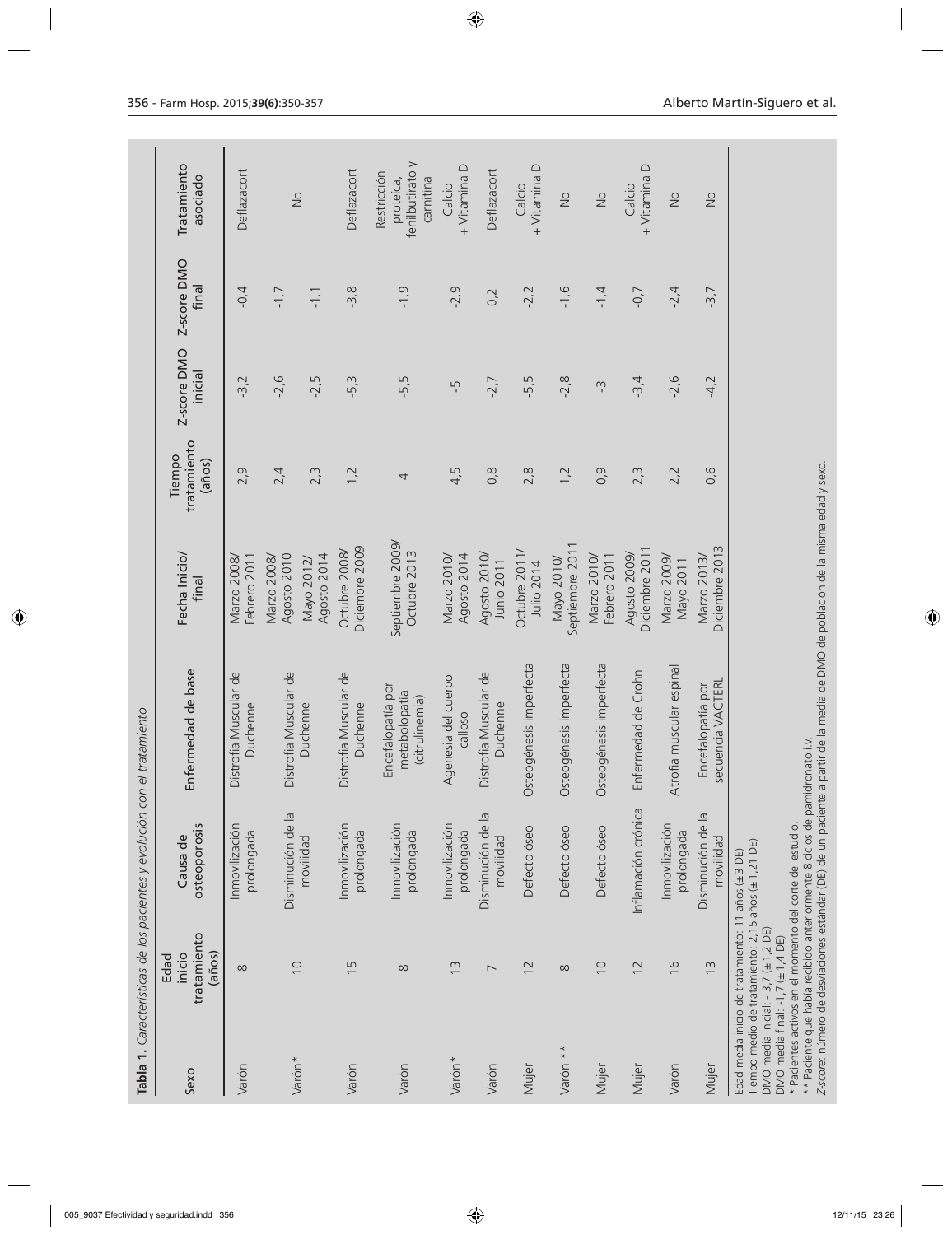|          |                                                                                                                                                                                 | Tabla 1. Características de los pacientes y evolución con el tratamiento                                                                                                                                |                                                                 |                                  |                                 |                        |                      |                                                          |
|----------|---------------------------------------------------------------------------------------------------------------------------------------------------------------------------------|---------------------------------------------------------------------------------------------------------------------------------------------------------------------------------------------------------|-----------------------------------------------------------------|----------------------------------|---------------------------------|------------------------|----------------------|----------------------------------------------------------|
| Sexo     | tratamiento<br>(años)<br>inicio<br>Edad                                                                                                                                         | osteoporosis<br>Causa de                                                                                                                                                                                | Enfermedad de base                                              | Fecha Inicio/<br>final           | tratamiento<br>Tiempo<br>(años) | Z-score DMO<br>inicial | Z-score DMO<br>final | Tratamiento<br>asociado                                  |
| Varón    | $\infty$                                                                                                                                                                        | Inmovilización<br>prolongada                                                                                                                                                                            | Distrofia Muscular de<br>Duchenne                               | Marzo 2008/<br>Febrero 2011      | 2,9                             | $-3,2$                 | $-0,4$               | Deflazacort                                              |
| Varón*   | $\cup$                                                                                                                                                                          | Disminución de la                                                                                                                                                                                       | Distrofia Muscular de                                           | Agosto 2010<br>Marzo 2008/       | 2,4                             | $-2,6$                 | $-1,7$               |                                                          |
|          |                                                                                                                                                                                 | movilidad                                                                                                                                                                                               | Duchenne                                                        | Agosto 2014<br>Mayo 2012/        | 2,3                             | $-2,5$                 | $-1, 1$              | $\frac{1}{2}$                                            |
| Varón    | $\overline{1}$                                                                                                                                                                  | Inmovilización<br>prolongada                                                                                                                                                                            | Distrofia Muscular de<br>Duchenne                               | Diciembre 2009<br>Octubre 2008/  | 1,2                             | $-5,3$                 | $-3,8$               | Deflazacort                                              |
| Varón    | $\infty$                                                                                                                                                                        | Inmovilización<br>prolongada                                                                                                                                                                            | Encefalopatía por<br>metabolopatía<br>(citrulinemia)            | Septiembre 2009/<br>Octubre 2013 | 4                               | -5,5                   | $-1,9$               | fenilbutirato y<br>Restricción<br>carnitina<br>proteíca, |
| Varón*   | $\widetilde{\Xi}$                                                                                                                                                               | Inmovilización<br>prolongada                                                                                                                                                                            | Agenesia del cuerpo<br>calloso                                  | Agosto 2014<br>Marzo 2010/       | 4,5                             | Ļ                      | $-2,9$               | + Vitamina D<br>Calcio                                   |
| Varón    | $\overline{ }$                                                                                                                                                                  | Disminución de la<br>movilidad                                                                                                                                                                          | Distrofia Muscular de<br>Duchenne                               | Agosto 2010/<br>Junio 2011       | 0,8                             | $-2,7$                 | 0,2                  | Deflazacort                                              |
| Mujer    | $\overline{c}$                                                                                                                                                                  | Defecto óseo                                                                                                                                                                                            | Osteogénesis imperfecta                                         | Octubre 2011,<br>Julio 2014      | 2,8                             | $-5,5$                 | $-2,2$               | + Vitamina D<br>Calcio                                   |
| Varón ** | $\infty$                                                                                                                                                                        | Defecto óseo                                                                                                                                                                                            | Osteogénesis imperfecta                                         | Septiembre 2011<br>Mayo 2010/    | 1,2                             | $-2, 8$                | $-1,6$               | $\stackrel{\circ}{\simeq}$                               |
| Mujer    | $\overline{0}$                                                                                                                                                                  | Defecto óseo                                                                                                                                                                                            | Osteogénesis imperfecta                                         | Marzo 2010/<br>Febrero 2011      | 0,9                             | $\sum_{i}$             | $-1, 4$              | $\frac{1}{2}$                                            |
| Mujer    | $\overline{2}$                                                                                                                                                                  | Inflamación crónica                                                                                                                                                                                     | Enfermedad de Crohn                                             | Diciembre 2011<br>Agosto 2009/   | 2,3                             | $-3,4$                 | $-0,7$               | + Vitamina D<br>Calcio                                   |
| Varón    | $\frac{6}{2}$                                                                                                                                                                   | Inmovilización<br>prolongada                                                                                                                                                                            | Atrofia muscular espinal                                        | Marzo 2009/<br>Mayo 2011         | 2,2                             | $-2,6$                 | $-2, 4$              | $\frac{1}{2}$                                            |
| Mujer    | $\frac{3}{2}$                                                                                                                                                                   | Disminución de la<br>movilidad                                                                                                                                                                          | secuencia VACTERL<br>Encefalopatía por                          | Diciembre 2013<br>Marzo 2013/    | 0,6                             | $-4,2$                 | $-3,7$               | $\frac{1}{2}$                                            |
|          | Tiempo medio de tratamiento: 2,15 años (±1,21 DE)<br>Edad media inicio de tratamiento: 11 años (±3 DE)<br>DMO media inicial: - 3,7 (±1,2 DE)<br>DMO media final: -1,7 (±1,4 DE) | ** Paciente que había recibido anteriormente 8 ciclos de pamidronato i.v.<br>Z-score: número de desviaciones estándar (DE) de un paciente a<br>* Pacientes activos en el momento del corte del estudio. | partir de la media de DMO de población de la misma edad y sexo. |                                  |                                 |                        |                      |                                                          |